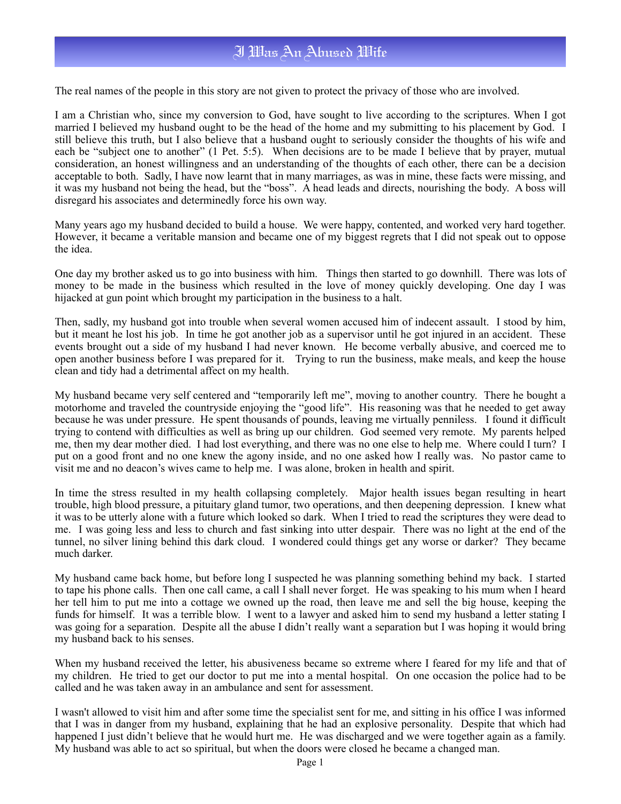## I Was An Abused Wife

The real names of the people in this story are not given to protect the privacy of those who are involved.

I am a Christian who, since my conversion to God, have sought to live according to the scriptures. When I got married I believed my husband ought to be the head of the home and my submitting to his placement by God. I still believe this truth, but I also believe that a husband ought to seriously consider the thoughts of his wife and each be "subject one to another" (1 Pet. 5:5). When decisions are to be made I believe that by prayer, mutual consideration, an honest willingness and an understanding of the thoughts of each other, there can be a decision acceptable to both. Sadly, I have now learnt that in many marriages, as was in mine, these facts were missing, and it was my husband not being the head, but the "boss". A head leads and directs, nourishing the body. A boss will disregard his associates and determinedly force his own way.

Many years ago my husband decided to build a house. We were happy, contented, and worked very hard together. However, it became a veritable mansion and became one of my biggest regrets that I did not speak out to oppose the idea.

One day my brother asked us to go into business with him. Things then started to go downhill. There was lots of money to be made in the business which resulted in the love of money quickly developing. One day I was hijacked at gun point which brought my participation in the business to a halt.

Then, sadly, my husband got into trouble when several women accused him of indecent assault. I stood by him, but it meant he lost his job. In time he got another job as a supervisor until he got injured in an accident. These events brought out a side of my husband I had never known. He become verbally abusive, and coerced me to open another business before I was prepared for it. Trying to run the business, make meals, and keep the house clean and tidy had a detrimental affect on my health.

My husband became very self centered and "temporarily left me", moving to another country. There he bought a motorhome and traveled the countryside enjoying the "good life". His reasoning was that he needed to get away because he was under pressure. He spent thousands of pounds, leaving me virtually penniless. I found it difficult trying to contend with difficulties as well as bring up our children. God seemed very remote. My parents helped me, then my dear mother died. I had lost everything, and there was no one else to help me. Where could I turn? I put on a good front and no one knew the agony inside, and no one asked how I really was. No pastor came to visit me and no deacon's wives came to help me. I was alone, broken in health and spirit.

In time the stress resulted in my health collapsing completely. Major health issues began resulting in heart trouble, high blood pressure, a pituitary gland tumor, two operations, and then deepening depression. I knew what it was to be utterly alone with a future which looked so dark. When I tried to read the scriptures they were dead to me. I was going less and less to church and fast sinking into utter despair. There was no light at the end of the tunnel, no silver lining behind this dark cloud. I wondered could things get any worse or darker? They became much darker.

My husband came back home, but before long I suspected he was planning something behind my back. I started to tape his phone calls. Then one call came, a call I shall never forget. He was speaking to his mum when I heard her tell him to put me into a cottage we owned up the road, then leave me and sell the big house, keeping the funds for himself. It was a terrible blow. I went to a lawyer and asked him to send my husband a letter stating I was going for a separation. Despite all the abuse I didn't really want a separation but I was hoping it would bring my husband back to his senses.

When my husband received the letter, his abusiveness became so extreme where I feared for my life and that of my children. He tried to get our doctor to put me into a mental hospital. On one occasion the police had to be called and he was taken away in an ambulance and sent for assessment.

I wasn't allowed to visit him and after some time the specialist sent for me, and sitting in his office I was informed that I was in danger from my husband, explaining that he had an explosive personality. Despite that which had happened I just didn't believe that he would hurt me. He was discharged and we were together again as a family. My husband was able to act so spiritual, but when the doors were closed he became a changed man.